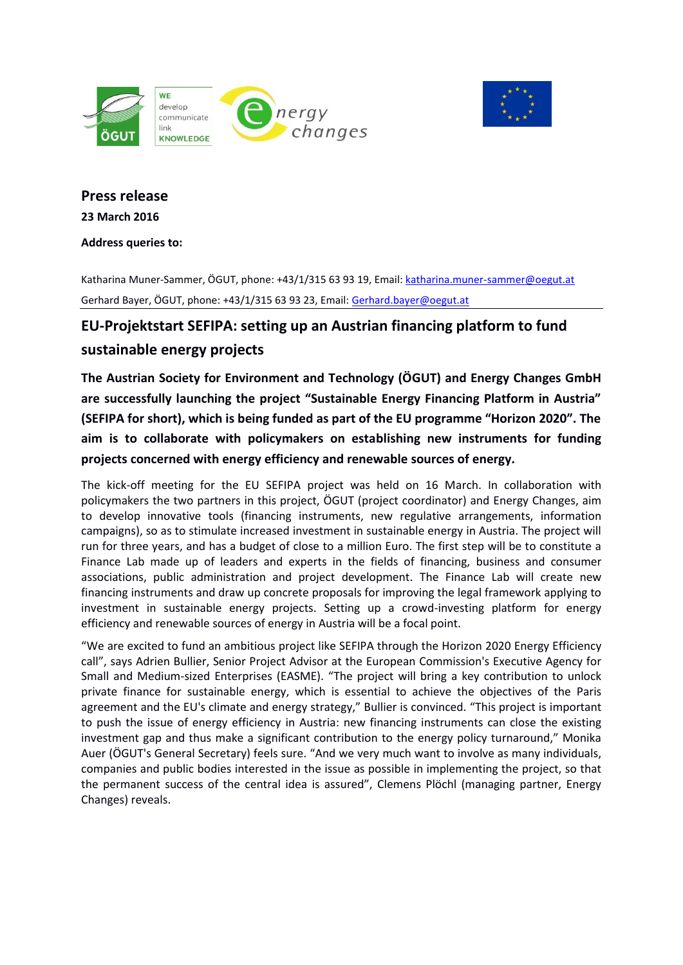



# **Press release 23 March 2016**

**Address queries to:** 

Katharina Muner-Sammer, ÖGUT, phone: +43/1/315 63 93 19, Email[: katharina.muner-sammer@oegut.at](mailto:katharina.muner-sammer@oegut.at) Gerhard Bayer, ÖGUT, phone: +43/1/315 63 93 23, Email: [Gerhard.bayer@oegut.at](mailto:Gerhard.bayer@oegut.at)

## **EU-Projektstart SEFIPA: setting up an Austrian financing platform to fund**

## **sustainable energy projects**

**The Austrian Society for Environment and Technology (ÖGUT) and Energy Changes GmbH are successfully launching the project "Sustainable Energy Financing Platform in Austria" (SEFIPA for short), which is being funded as part of the EU programme "Horizon 2020". The aim is to collaborate with policymakers on establishing new instruments for funding projects concerned with energy efficiency and renewable sources of energy.**

The kick-off meeting for the EU SEFIPA project was held on 16 March. In collaboration with policymakers the two partners in this project, ÖGUT (project coordinator) and Energy Changes, aim to develop innovative tools (financing instruments, new regulative arrangements, information campaigns), so as to stimulate increased investment in sustainable energy in Austria. The project will run for three years, and has a budget of close to a million Euro. The first step will be to constitute a Finance Lab made up of leaders and experts in the fields of financing, business and consumer associations, public administration and project development. The Finance Lab will create new financing instruments and draw up concrete proposals for improving the legal framework applying to investment in sustainable energy projects. Setting up a crowd-investing platform for energy efficiency and renewable sources of energy in Austria will be a focal point.

"We are excited to fund an ambitious project like SEFIPA through the Horizon 2020 Energy Efficiency call", says Adrien Bullier, Senior Project Advisor at the European Commission's Executive Agency for Small and Medium-sized Enterprises (EASME). "The project will bring a key contribution to unlock private finance for sustainable energy, which is essential to achieve the objectives of the Paris agreement and the EU's climate and energy strategy," Bullier is convinced. "This project is important to push the issue of energy efficiency in Austria: new financing instruments can close the existing investment gap and thus make a significant contribution to the energy policy turnaround," Monika Auer (ÖGUT's General Secretary) feels sure. "And we very much want to involve as many individuals, companies and public bodies interested in the issue as possible in implementing the project, so that the permanent success of the central idea is assured", Clemens Plöchl (managing partner, Energy Changes) reveals.